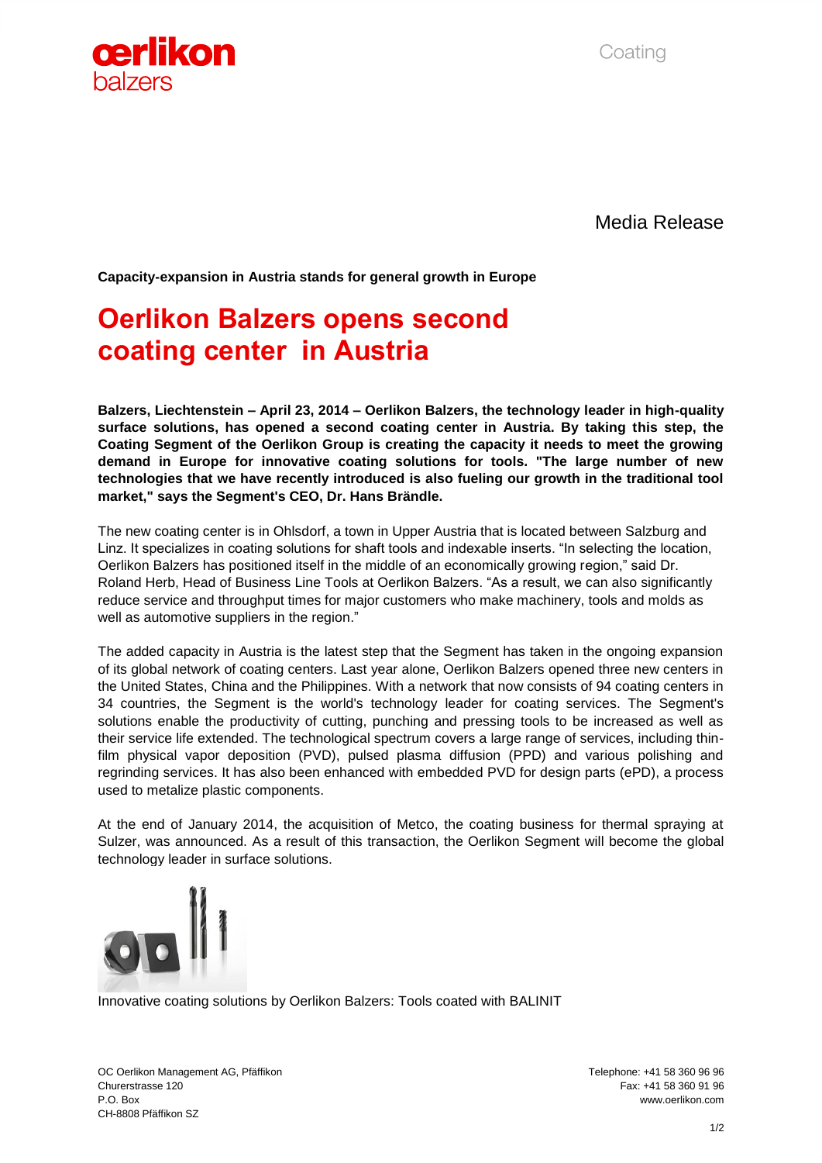Coating



Media Release

**Capacity-expansion in Austria stands for general growth in Europe**

## **Oerlikon Balzers opens second coating center in Austria**

**Balzers, Liechtenstein – April 23, 2014 – Oerlikon Balzers, the technology leader in high-quality surface solutions, has opened a second coating center in Austria. By taking this step, the Coating Segment of the Oerlikon Group is creating the capacity it needs to meet the growing demand in Europe for innovative coating solutions for tools. "The large number of new technologies that we have recently introduced is also fueling our growth in the traditional tool market," says the Segment's CEO, Dr. Hans Brändle.** 

The new coating center is in Ohlsdorf, a town in Upper Austria that is located between Salzburg and Linz. It specializes in coating solutions for shaft tools and indexable inserts. "In selecting the location, Oerlikon Balzers has positioned itself in the middle of an economically growing region," said Dr. Roland Herb, Head of Business Line Tools at Oerlikon Balzers. "As a result, we can also significantly reduce service and throughput times for major customers who make machinery, tools and molds as well as automotive suppliers in the region."

The added capacity in Austria is the latest step that the Segment has taken in the ongoing expansion of its global network of coating centers. Last year alone, Oerlikon Balzers opened three new centers in the United States, China and the Philippines. With a network that now consists of 94 coating centers in 34 countries, the Segment is the world's technology leader for coating services. The Segment's solutions enable the productivity of cutting, punching and pressing tools to be increased as well as their service life extended. The technological spectrum covers a large range of services, including thinfilm physical vapor deposition (PVD), pulsed plasma diffusion (PPD) and various polishing and regrinding services. It has also been enhanced with embedded PVD for design parts (ePD), a process used to metalize plastic components.

At the end of January 2014, the acquisition of Metco, the coating business for thermal spraying at Sulzer, was announced. As a result of this transaction, the Oerlikon Segment will become the global technology leader in surface solutions.



Innovative coating solutions by Oerlikon Balzers: Tools coated with BALINIT

OC Oerlikon Management AG, Pfäffikon Telephone: +41 58 360 96 96 Churerstrasse 120 Fax: +41 58 360 91 96 P.O. Box www.oerlikon.com CH-8808 Pfäffikon SZ